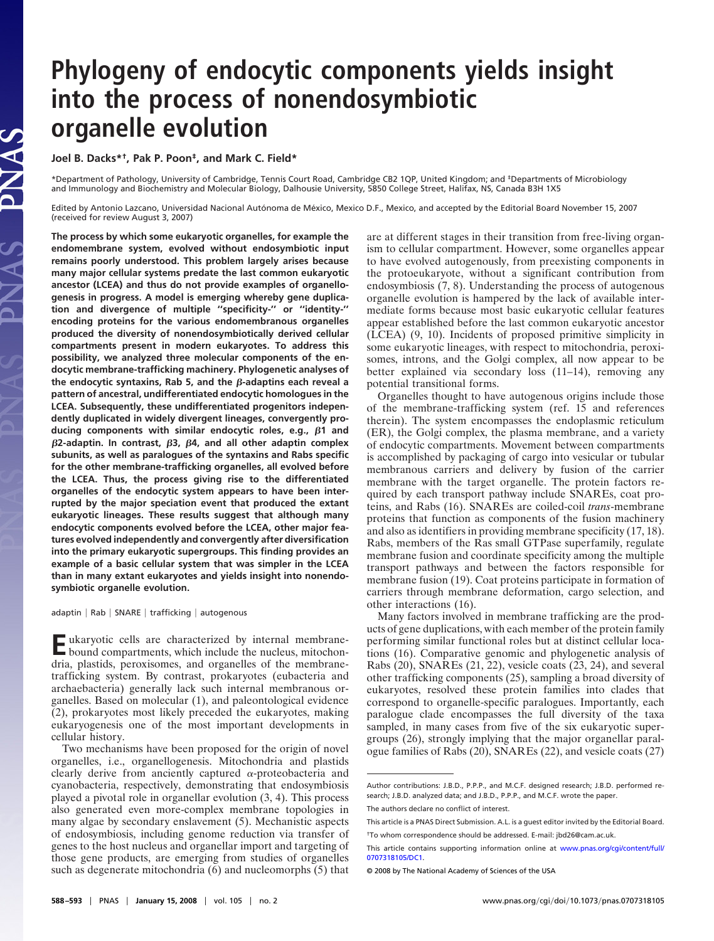## **Phylogeny of endocytic components yields insight into the process of nonendosymbiotic organelle evolution**

**Joel B. Dacks\*†, Pak P. Poon‡, and Mark C. Field\***

VAS

\*Department of Pathology, University of Cambridge, Tennis Court Road, Cambridge CB2 1QP, United Kingdom; and ‡Departments of Microbiology and Immunology and Biochemistry and Molecular Biology, Dalhousie University, 5850 College Street, Halifax, NS, Canada B3H 1X5

Edited by Antonio Lazcano, Universidad Nacional Autónoma de México, Mexico D.F., Mexico, and accepted by the Editorial Board November 15, 2007 (received for review August 3, 2007)

**The process by which some eukaryotic organelles, for example the endomembrane system, evolved without endosymbiotic input remains poorly understood. This problem largely arises because many major cellular systems predate the last common eukaryotic ancestor (LCEA) and thus do not provide examples of organellogenesis in progress. A model is emerging whereby gene duplication and divergence of multiple ''specificity-'' or ''identity-'' encoding proteins for the various endomembranous organelles produced the diversity of nonendosymbiotically derived cellular compartments present in modern eukaryotes. To address this possibility, we analyzed three molecular components of the endocytic membrane-trafficking machinery. Phylogenetic analyses of** the endocytic syntaxins, Rab 5, and the  $\beta$ -adaptins each reveal a **pattern of ancestral, undifferentiated endocytic homologues in the LCEA. Subsequently, these undifferentiated progenitors independently duplicated in widely divergent lineages, convergently producing components with similar endocytic roles, e.g., 1 and**  $\beta$ 2-adaptin. In contrast,  $\beta$ 3,  $\beta$ 4, and all other adaptin complex **subunits, as well as paralogues of the syntaxins and Rabs specific for the other membrane-trafficking organelles, all evolved before the LCEA. Thus, the process giving rise to the differentiated organelles of the endocytic system appears to have been interrupted by the major speciation event that produced the extant eukaryotic lineages. These results suggest that although many endocytic components evolved before the LCEA, other major features evolved independently and convergently after diversification into the primary eukaryotic supergroups. This finding provides an example of a basic cellular system that was simpler in the LCEA than in many extant eukaryotes and yields insight into nonendosymbiotic organelle evolution.**

adaptin | Rab | SNARE | trafficking | autogenous

E ukaryotic cells are characterized by internal membrane-<br>bound compartments, which include the nucleus, mitochondria, plastids, peroxisomes, and organelles of the membranetrafficking system. By contrast, prokaryotes (eubacteria and archaebacteria) generally lack such internal membranous organelles. Based on molecular (1), and paleontological evidence (2), prokaryotes most likely preceded the eukaryotes, making eukaryogenesis one of the most important developments in cellular history.

Two mechanisms have been proposed for the origin of novel organelles, i.e., organellogenesis. Mitochondria and plastids clearly derive from anciently captured  $\alpha$ -proteobacteria and cyanobacteria, respectively, demonstrating that endosymbiosis played a pivotal role in organellar evolution (3, 4). This process also generated even more-complex membrane topologies in many algae by secondary enslavement (5). Mechanistic aspects of endosymbiosis, including genome reduction via transfer of genes to the host nucleus and organellar import and targeting of those gene products, are emerging from studies of organelles such as degenerate mitochondria (6) and nucleomorphs (5) that are at different stages in their transition from free-living organism to cellular compartment. However, some organelles appear to have evolved autogenously, from preexisting components in the protoeukaryote, without a significant contribution from endosymbiosis (7, 8). Understanding the process of autogenous organelle evolution is hampered by the lack of available intermediate forms because most basic eukaryotic cellular features appear established before the last common eukaryotic ancestor (LCEA) (9, 10). Incidents of proposed primitive simplicity in some eukaryotic lineages, with respect to mitochondria, peroxisomes, introns, and the Golgi complex, all now appear to be better explained via secondary loss (11–14), removing any potential transitional forms.

Organelles thought to have autogenous origins include those of the membrane-trafficking system (ref. 15 and references therein). The system encompasses the endoplasmic reticulum (ER), the Golgi complex, the plasma membrane, and a variety of endocytic compartments. Movement between compartments is accomplished by packaging of cargo into vesicular or tubular membranous carriers and delivery by fusion of the carrier membrane with the target organelle. The protein factors required by each transport pathway include SNAREs, coat proteins, and Rabs (16). SNAREs are coiled-coil *trans*-membrane proteins that function as components of the fusion machinery and also as identifiers in providing membrane specificity (17, 18). Rabs, members of the Ras small GTPase superfamily, regulate membrane fusion and coordinate specificity among the multiple transport pathways and between the factors responsible for membrane fusion (19). Coat proteins participate in formation of carriers through membrane deformation, cargo selection, and other interactions (16).

Many factors involved in membrane trafficking are the products of gene duplications, with each member of the protein family performing similar functional roles but at distinct cellular locations (16). Comparative genomic and phylogenetic analysis of Rabs (20), SNAREs (21, 22), vesicle coats (23, 24), and several other trafficking components (25), sampling a broad diversity of eukaryotes, resolved these protein families into clades that correspond to organelle-specific paralogues. Importantly, each paralogue clade encompasses the full diversity of the taxa sampled, in many cases from five of the six eukaryotic supergroups (26), strongly implying that the major organellar paralogue families of Rabs (20), SNAREs (22), and vesicle coats (27)

Author contributions: J.B.D., P.P.P., and M.C.F. designed research; J.B.D. performed research; J.B.D. analyzed data; and J.B.D., P.P.P., and M.C.F. wrote the paper.

The authors declare no conflict of interest.

This article is a PNAS Direct Submission. A.L. is a guest editor invited by the Editorial Board. †To whom correspondence should be addressed. E-mail: jbd26@cam.ac.uk.

This article contains supporting information online at [www.pnas.org/cgi/content/full/](http://www.pnas.org/cgi/content/full/0707318105/DC1) [0707318105/DC1.](http://www.pnas.org/cgi/content/full/0707318105/DC1)

<sup>© 2008</sup> by The National Academy of Sciences of the USA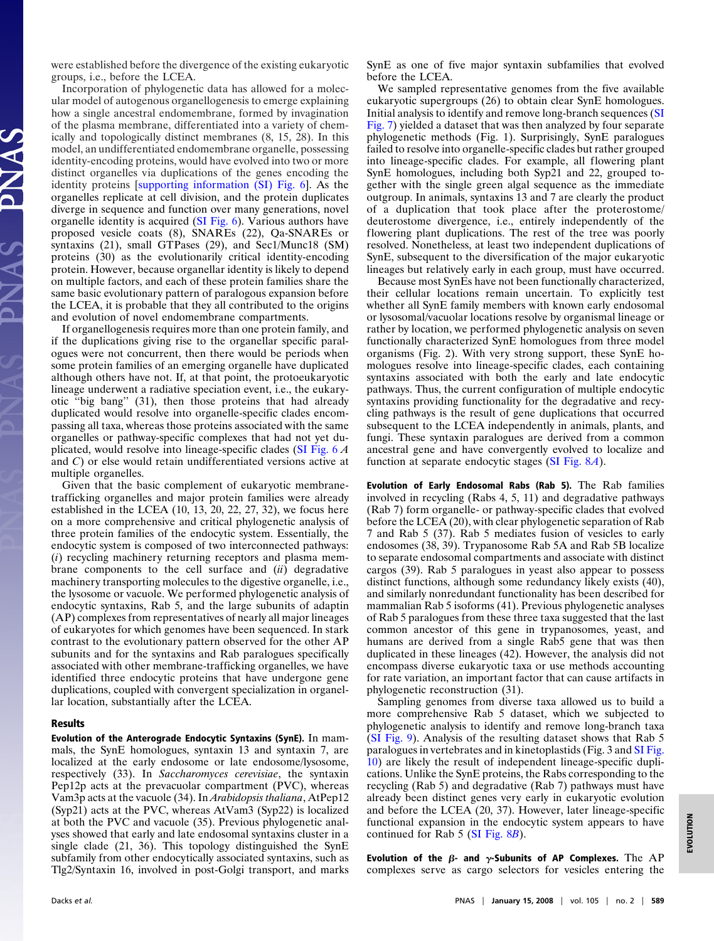were established before the divergence of the existing eukaryotic groups, i.e., before the LCEA.

Incorporation of phylogenetic data has allowed for a molecular model of autogenous organellogenesis to emerge explaining how a single ancestral endomembrane, formed by invagination of the plasma membrane, differentiated into a variety of chemically and topologically distinct membranes (8, 15, 28). In this model, an undifferentiated endomembrane organelle, possessing identity-encoding proteins, would have evolved into two or more distinct organelles via duplications of the genes encoding the identity proteins [\[supporting information \(SI\) Fig. 6\]](http://www.pnas.org/cgi/content/full/0707318105/DC1). As the organelles replicate at cell division, and the protein duplicates diverge in sequence and function over many generations, novel organelle identity is acquired [\(SI Fig. 6\)](http://www.pnas.org/cgi/content/full/0707318105/DC1). Various authors have proposed vesicle coats (8), SNAREs (22), Qa-SNAREs or syntaxins (21), small GTPases (29), and Sec1/Munc18 (SM) proteins (30) as the evolutionarily critical identity-encoding protein. However, because organellar identity is likely to depend on multiple factors, and each of these protein families share the same basic evolutionary pattern of paralogous expansion before the LCEA, it is probable that they all contributed to the origins and evolution of novel endomembrane compartments.

If organellogenesis requires more than one protein family, and if the duplications giving rise to the organellar specific paralogues were not concurrent, then there would be periods when some protein families of an emerging organelle have duplicated although others have not. If, at that point, the protoeukaryotic lineage underwent a radiative speciation event, i.e., the eukaryotic ''big bang'' (31), then those proteins that had already duplicated would resolve into organelle-specific clades encompassing all taxa, whereas those proteins associated with the same organelles or pathway-specific complexes that had not yet duplicated, would resolve into lineage-specific clades [\(SI Fig. 6](http://www.pnas.org/cgi/content/full/0707318105/DC1) *A* and *C*) or else would retain undifferentiated versions active at multiple organelles.

Given that the basic complement of eukaryotic membranetrafficking organelles and major protein families were already established in the LCEA (10, 13, 20, 22, 27, 32), we focus here on a more comprehensive and critical phylogenetic analysis of three protein families of the endocytic system. Essentially, the endocytic system is composed of two interconnected pathways: (*i*) recycling machinery returning receptors and plasma membrane components to the cell surface and (*ii*) degradative machinery transporting molecules to the digestive organelle, i.e., the lysosome or vacuole. We performed phylogenetic analysis of endocytic syntaxins, Rab 5, and the large subunits of adaptin (AP) complexes from representatives of nearly all major lineages of eukaryotes for which genomes have been sequenced. In stark contrast to the evolutionary pattern observed for the other AP subunits and for the syntaxins and Rab paralogues specifically associated with other membrane-trafficking organelles, we have identified three endocytic proteins that have undergone gene duplications, coupled with convergent specialization in organellar location, substantially after the LCEA.

## **Results**

**Evolution of the Anterograde Endocytic Syntaxins (SynE).** In mammals, the SynE homologues, syntaxin 13 and syntaxin 7, are localized at the early endosome or late endosome/lysosome, respectively (33). In *Saccharomyces cerevisiae*, the syntaxin Pep12p acts at the prevacuolar compartment (PVC), whereas Vam3p acts at the vacuole (34). In *Arabidopsis thaliana*, AtPep12 (Syp21) acts at the PVC, whereas AtVam3 (Syp22) is localized at both the PVC and vacuole (35). Previous phylogenetic analyses showed that early and late endosomal syntaxins cluster in a single clade (21, 36). This topology distinguished the SynE subfamily from other endocytically associated syntaxins, such as Tlg2/Syntaxin 16, involved in post-Golgi transport, and marks SynE as one of five major syntaxin subfamilies that evolved before the LCEA.

We sampled representative genomes from the five available eukaryotic supergroups (26) to obtain clear SynE homologues. Initial analysis to identify and remove long-branch sequences [\(SI](http://www.pnas.org/cgi/content/full/0707318105/DC1) [Fig. 7\)](http://www.pnas.org/cgi/content/full/0707318105/DC1) yielded a dataset that was then analyzed by four separate phylogenetic methods (Fig. 1). Surprisingly, SynE paralogues failed to resolve into organelle-specific clades but rather grouped into lineage-specific clades. For example, all flowering plant SynE homologues, including both Syp21 and 22, grouped together with the single green algal sequence as the immediate outgroup. In animals, syntaxins 13 and 7 are clearly the product of a duplication that took place after the proterostome/ deuterostome divergence, i.e., entirely independently of the flowering plant duplications. The rest of the tree was poorly resolved. Nonetheless, at least two independent duplications of SynE, subsequent to the diversification of the major eukaryotic lineages but relatively early in each group, must have occurred.

Because most SynEs have not been functionally characterized, their cellular locations remain uncertain. To explicitly test whether all SynE family members with known early endosomal or lysosomal/vacuolar locations resolve by organismal lineage or rather by location, we performed phylogenetic analysis on seven functionally characterized SynE homologues from three model organisms (Fig. 2). With very strong support, these SynE homologues resolve into lineage-specific clades, each containing syntaxins associated with both the early and late endocytic pathways. Thus, the current configuration of multiple endocytic syntaxins providing functionality for the degradative and recycling pathways is the result of gene duplications that occurred subsequent to the LCEA independently in animals, plants, and fungi. These syntaxin paralogues are derived from a common ancestral gene and have convergently evolved to localize and function at separate endocytic stages [\(SI Fig. 8](http://www.pnas.org/cgi/content/full/0707318105/DC1)*A*).

**Evolution of Early Endosomal Rabs (Rab 5).** The Rab families involved in recycling (Rabs 4, 5, 11) and degradative pathways (Rab 7) form organelle- or pathway-specific clades that evolved before the LCEA (20), with clear phylogenetic separation of Rab 7 and Rab 5 (37). Rab 5 mediates fusion of vesicles to early endosomes (38, 39). Trypanosome Rab 5A and Rab 5B localize to separate endosomal compartments and associate with distinct cargos (39). Rab 5 paralogues in yeast also appear to possess distinct functions, although some redundancy likely exists (40), and similarly nonredundant functionality has been described for mammalian Rab 5 isoforms (41). Previous phylogenetic analyses of Rab 5 paralogues from these three taxa suggested that the last common ancestor of this gene in trypanosomes, yeast, and humans are derived from a single Rab5 gene that was then duplicated in these lineages (42). However, the analysis did not encompass diverse eukaryotic taxa or use methods accounting for rate variation, an important factor that can cause artifacts in phylogenetic reconstruction (31).

Sampling genomes from diverse taxa allowed us to build a more comprehensive Rab 5 dataset, which we subjected to phylogenetic analysis to identify and remove long-branch taxa [\(SI Fig. 9\)](http://www.pnas.org/cgi/content/full/0707318105/DC1). Analysis of the resulting dataset shows that Rab 5 paralogues in vertebrates and in kinetoplastids (Fig. 3 and [SI Fig.](http://www.pnas.org/cgi/content/full/0707318105/DC1) [10\)](http://www.pnas.org/cgi/content/full/0707318105/DC1) are likely the result of independent lineage-specific duplications. Unlike the SynE proteins, the Rabs corresponding to the recycling (Rab 5) and degradative (Rab 7) pathways must have already been distinct genes very early in eukaryotic evolution and before the LCEA (20, 37). However, later lineage-specific functional expansion in the endocytic system appears to have continued for Rab 5 [\(SI Fig. 8](http://www.pnas.org/cgi/content/full/0707318105/DC1)*B*).

**Evolution of the**  $\beta$ **- and**  $\gamma$ **-Subunits of AP Complexes.** The  $AP$ complexes serve as cargo selectors for vesicles entering the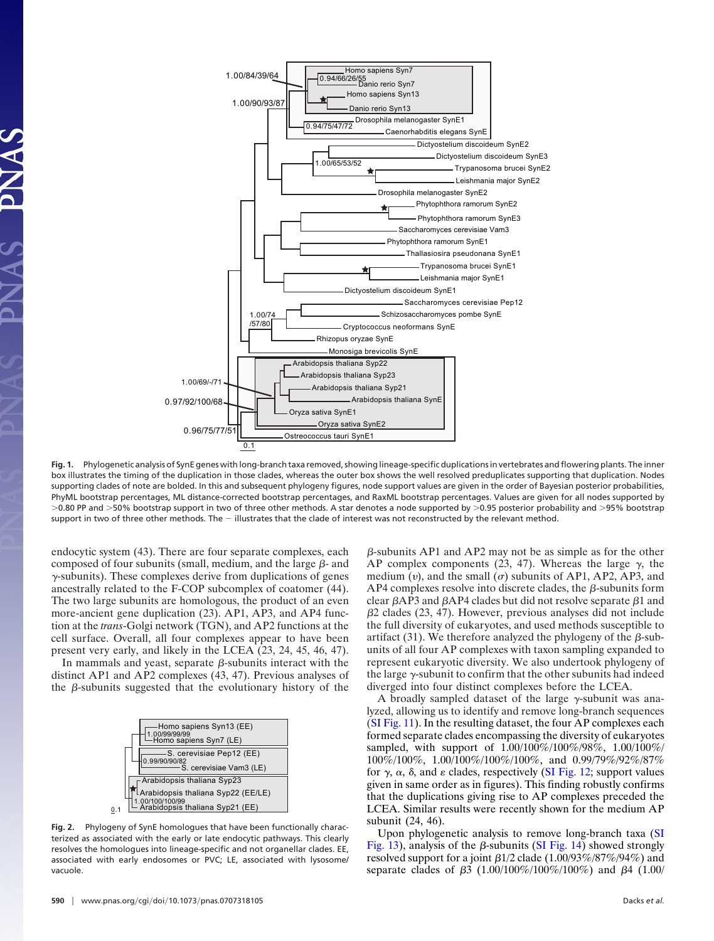

**Fig. 1.** Phylogenetic analysis of SynE genes with long-branch taxa removed, showing lineage-specific duplications in vertebrates and flowering plants. The inner box illustrates the timing of the duplication in those clades, whereas the outer box shows the well resolved preduplicates supporting that duplication. Nodes supporting clades of note are bolded. In this and subsequent phylogeny figures, node support values are given in the order of Bayesian posterior probabilities, PhyML bootstrap percentages, ML distance-corrected bootstrap percentages, and RaxML bootstrap percentages. Values are given for all nodes supported by >0.80 PP and >50% bootstrap support in two of three other methods. A star denotes a node supported by >0.95 posterior probability and >95% bootstrap support in two of three other methods. The  $-$  illustrates that the clade of interest was not reconstructed by the relevant method.

endocytic system (43). There are four separate complexes, each composed of four subunits (small, medium, and the large  $\beta$ - and  $\gamma$ -subunits). These complexes derive from duplications of genes ancestrally related to the F-COP subcomplex of coatomer (44). The two large subunits are homologous, the product of an even more-ancient gene duplication (23). AP1, AP3, and AP4 function at the *trans*-Golgi network (TGN), and AP2 functions at the cell surface. Overall, all four complexes appear to have been present very early, and likely in the LCEA (23, 24, 45, 46, 47).

In mammals and yeast, separate  $\beta$ -subunits interact with the distinct AP1 and AP2 complexes (43, 47). Previous analyses of the  $\beta$ -subunits suggested that the evolutionary history of the



**Fig. 2.** Phylogeny of SynE homologues that have been functionally characterized as associated with the early or late endocytic pathways. This clearly resolves the homologues into lineage-specific and not organellar clades. EE, associated with early endosomes or PVC; LE, associated with lysosome/ vacuole.

 $\beta$ -subunits AP1 and AP2 may not be as simple as for the other AP complex components (23, 47). Whereas the large  $\gamma$ , the medium (v), and the small ( $\sigma$ ) subunits of AP1, AP2, AP3, and AP4 complexes resolve into discrete clades, the  $\beta$ -subunits form clear  $\beta$ AP3 and  $\beta$ AP4 clades but did not resolve separate  $\beta$ 1 and β2 clades (23, 47). However, previous analyses did not include the full diversity of eukaryotes, and used methods susceptible to artifact (31). We therefore analyzed the phylogeny of the  $\beta$ -subunits of all four AP complexes with taxon sampling expanded to represent eukaryotic diversity. We also undertook phylogeny of the large  $\gamma$ -subunit to confirm that the other subunits had indeed diverged into four distinct complexes before the LCEA.

A broadly sampled dataset of the large  $\gamma$ -subunit was analyzed, allowing us to identify and remove long-branch sequences [\(SI Fig. 11\)](http://www.pnas.org/cgi/content/full/0707318105/DC1). In the resulting dataset, the four AP complexes each formed separate clades encompassing the diversity of eukaryotes sampled, with support of 1.00/100%/100%/98%, 1.00/100%/ 100%/100%, 1.00/100%/100%/100%, and 0.99/79%/92%/87% for  $\gamma$ ,  $\alpha$ ,  $\delta$ , and  $\varepsilon$  clades, respectively [\(SI Fig. 12;](http://www.pnas.org/cgi/content/full/0707318105/DC1) support values given in same order as in figures). This finding robustly confirms that the duplications giving rise to AP complexes preceded the LCEA. Similar results were recently shown for the medium AP subunit (24, 46).

Upon phylogenetic analysis to remove long-branch taxa [\(SI](http://www.pnas.org/cgi/content/full/0707318105/DC1) [Fig. 13\)](http://www.pnas.org/cgi/content/full/0707318105/DC1), analysis of the  $\beta$ -subunits [\(SI Fig. 14\)](http://www.pnas.org/cgi/content/full/0707318105/DC1) showed strongly resolved support for a joint  $\beta$ 1/2 clade (1.00/93%/87%/94%) and separate clades of  $\beta$ 3 (1.00/100%/100%/100%) and  $\beta$ 4 (1.00/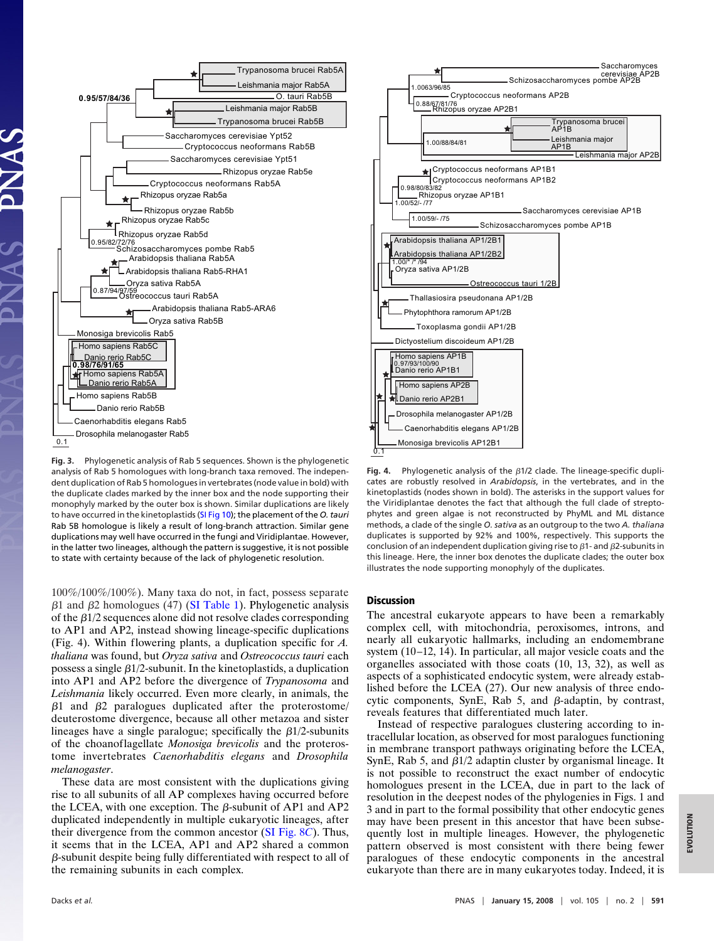

**Fig. 3.** Phylogenetic analysis of Rab 5 sequences. Shown is the phylogenetic analysis of Rab 5 homologues with long-branch taxa removed. The independent duplication of Rab 5 homologues in vertebrates (node value in bold) with the duplicate clades marked by the inner box and the node supporting their monophyly marked by the outer box is shown. Similar duplications are likely to have occurred in the kinetoplastids [\(SI Fig 10\)](http://www.pnas.org/cgi/content/full/0707318105/DC1); the placement of the *O. tauri* Rab 5B homologue is likely a result of long-branch attraction. Similar gene duplications may well have occurred in the fungi and Viridiplantae. However, in the latter two lineages, although the pattern is suggestive, it is not possible to state with certainty because of the lack of phylogenetic resolution.

100%/100%/100%). Many taxa do not, in fact, possess separate  $\beta$ 1 and  $\beta$ 2 homologues (47) [\(SI Table 1\)](http://www.pnas.org/cgi/content/full/0707318105/DC1). Phylogenetic analysis of the  $\beta$ 1/2 sequences alone did not resolve clades corresponding to AP1 and AP2, instead showing lineage-specific duplications (Fig. 4). Within flowering plants, a duplication specific for *A. thaliana* was found, but *Oryza sativa* and *Ostreococcus tauri* each possess a single  $\beta$ 1/2-subunit. In the kinetoplastids, a duplication into AP1 and AP2 before the divergence of *Trypanosoma* and *Leishmania* likely occurred. Even more clearly, in animals, the  $\beta$ 1 and  $\beta$ 2 paralogues duplicated after the proterostome/ deuterostome divergence, because all other metazoa and sister lineages have a single paralogue; specifically the  $\beta$ 1/2-subunits of the choanoflagellate *Monosiga brevicolis* and the proterostome invertebrates *Caenorhabditis elegans* and *Drosophila melanogaster*.

These data are most consistent with the duplications giving rise to all subunits of all AP complexes having occurred before the LCEA, with one exception. The  $\beta$ -subunit of AP1 and AP2 duplicated independently in multiple eukaryotic lineages, after their divergence from the common ancestor [\(SI Fig. 8](http://www.pnas.org/cgi/content/full/0707318105/DC1)*C*). Thus, it seems that in the LCEA, AP1 and AP2 shared a common  $\beta$ -subunit despite being fully differentiated with respect to all of the remaining subunits in each complex.



Fig. 4. Phylogenetic analysis of the  $\beta$ 1/2 clade. The lineage-specific duplicates are robustly resolved in *Arabidopsis*, in the vertebrates, and in the kinetoplastids (nodes shown in bold). The asterisks in the support values for the Viridiplantae denotes the fact that although the full clade of streptophytes and green algae is not reconstructed by PhyML and ML distance methods, a clade of the single *O. sativa* as an outgroup to the two *A. thaliana* duplicates is supported by 92% and 100%, respectively. This supports the conclusion of an independent duplication giving rise to  $\beta$ 1- and  $\beta$ 2-subunits in this lineage. Here, the inner box denotes the duplicate clades; the outer box illustrates the node supporting monophyly of the duplicates.

## **Discussion**

The ancestral eukaryote appears to have been a remarkably complex cell, with mitochondria, peroxisomes, introns, and nearly all eukaryotic hallmarks, including an endomembrane system (10–12, 14). In particular, all major vesicle coats and the organelles associated with those coats (10, 13, 32), as well as aspects of a sophisticated endocytic system, were already established before the LCEA (27). Our new analysis of three endocytic components, SynE, Rab 5, and  $\beta$ -adaptin, by contrast, reveals features that differentiated much later.

Instead of respective paralogues clustering according to intracellular location, as observed for most paralogues functioning in membrane transport pathways originating before the LCEA, SynE, Rab 5, and  $\beta$ 1/2 adaptin cluster by organismal lineage. It is not possible to reconstruct the exact number of endocytic homologues present in the LCEA, due in part to the lack of resolution in the deepest nodes of the phylogenies in Figs. 1 and 3 and in part to the formal possibility that other endocytic genes may have been present in this ancestor that have been subsequently lost in multiple lineages. However, the phylogenetic pattern observed is most consistent with there being fewer paralogues of these endocytic components in the ancestral eukaryote than there are in many eukaryotes today. Indeed, it is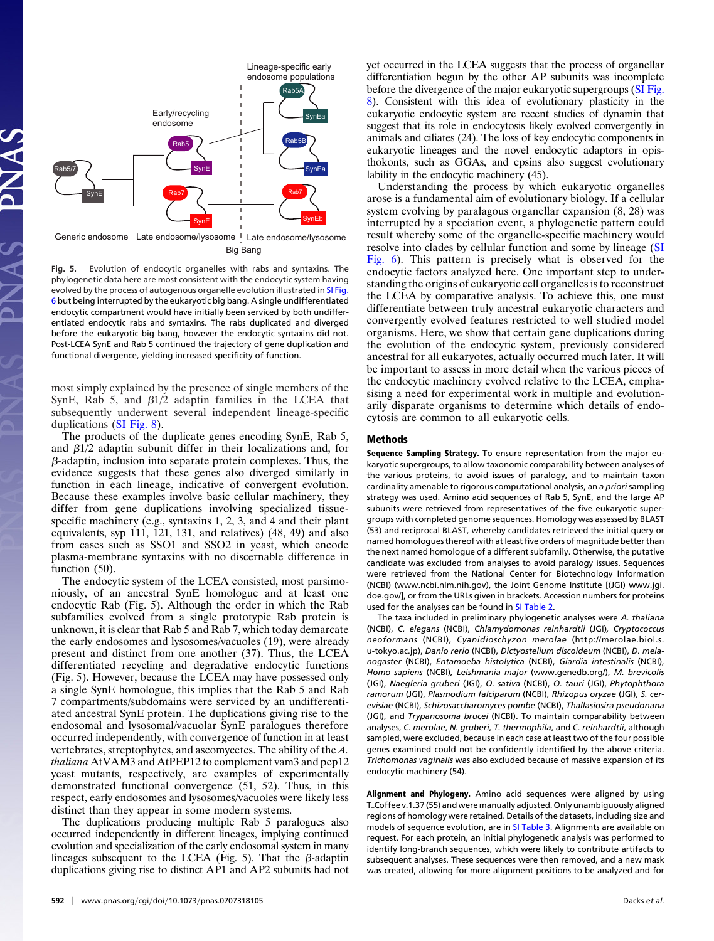

Big Bang

**Fig. 5.** Evolution of endocytic organelles with rabs and syntaxins. The phylogenetic data here are most consistent with the endocytic system having evolved by the process of autogenous organelle evolution illustrated in [SI Fig.](http://www.pnas.org/cgi/content/full/0707318105/DC1) [6](http://www.pnas.org/cgi/content/full/0707318105/DC1) but being interrupted by the eukaryotic big bang. A single undifferentiated endocytic compartment would have initially been serviced by both undifferentiated endocytic rabs and syntaxins. The rabs duplicated and diverged before the eukaryotic big bang, however the endocytic syntaxins did not. Post-LCEA SynE and Rab 5 continued the trajectory of gene duplication and functional divergence, yielding increased specificity of function.

most simply explained by the presence of single members of the SynE, Rab 5, and  $\beta$ 1/2 adaptin families in the LCEA that subsequently underwent several independent lineage-specific duplications [\(SI Fig. 8\)](http://www.pnas.org/cgi/content/full/0707318105/DC1).

The products of the duplicate genes encoding SynE, Rab 5, and  $\beta$ 1/2 adaptin subunit differ in their localizations and, for --adaptin, inclusion into separate protein complexes. Thus, the evidence suggests that these genes also diverged similarly in function in each lineage, indicative of convergent evolution. Because these examples involve basic cellular machinery, they differ from gene duplications involving specialized tissuespecific machinery (e.g., syntaxins 1, 2, 3, and 4 and their plant equivalents, syp 111, 121, 131, and relatives) (48, 49) and also from cases such as SSO1 and SSO2 in yeast, which encode plasma-membrane syntaxins with no discernable difference in function (50).

The endocytic system of the LCEA consisted, most parsimoniously, of an ancestral SynE homologue and at least one endocytic Rab (Fig. 5). Although the order in which the Rab subfamilies evolved from a single prototypic Rab protein is unknown, it is clear that Rab 5 and Rab 7, which today demarcate the early endosomes and lysosomes/vacuoles (19), were already present and distinct from one another (37). Thus, the LCEA differentiated recycling and degradative endocytic functions (Fig. 5). However, because the LCEA may have possessed only a single SynE homologue, this implies that the Rab 5 and Rab 7 compartments/subdomains were serviced by an undifferentiated ancestral SynE protein. The duplications giving rise to the endosomal and lysosomal/vacuolar SynE paralogues therefore occurred independently, with convergence of function in at least vertebrates, streptophytes, and ascomycetes. The ability of the *A. thaliana* AtVAM3 and AtPEP12 to complement vam3 and pep12 yeast mutants, respectively, are examples of experimentally demonstrated functional convergence (51, 52). Thus, in this respect, early endosomes and lysosomes/vacuoles were likely less distinct than they appear in some modern systems.

The duplications producing multiple Rab 5 paralogues also occurred independently in different lineages, implying continued evolution and specialization of the early endosomal system in many lineages subsequent to the LCEA (Fig. 5). That the  $\beta$ -adaptin duplications giving rise to distinct AP1 and AP2 subunits had not yet occurred in the LCEA suggests that the process of organellar differentiation begun by the other AP subunits was incomplete before the divergence of the major eukaryotic supergroups [\(SI Fig.](http://www.pnas.org/cgi/content/full/0707318105/DC1) [8\)](http://www.pnas.org/cgi/content/full/0707318105/DC1). Consistent with this idea of evolutionary plasticity in the eukaryotic endocytic system are recent studies of dynamin that suggest that its role in endocytosis likely evolved convergently in animals and ciliates (24). The loss of key endocytic components in eukaryotic lineages and the novel endocytic adaptors in opisthokonts, such as GGAs, and epsins also suggest evolutionary lability in the endocytic machinery (45).

Understanding the process by which eukaryotic organelles arose is a fundamental aim of evolutionary biology. If a cellular system evolving by paralagous organellar expansion (8, 28) was interrupted by a speciation event, a phylogenetic pattern could result whereby some of the organelle-specific machinery would resolve into clades by cellular function and some by lineage [\(SI](http://www.pnas.org/cgi/content/full/0707318105/DC1) [Fig. 6\)](http://www.pnas.org/cgi/content/full/0707318105/DC1). This pattern is precisely what is observed for the endocytic factors analyzed here. One important step to understanding the origins of eukaryotic cell organelles is to reconstruct the LCEA by comparative analysis. To achieve this, one must differentiate between truly ancestral eukaryotic characters and convergently evolved features restricted to well studied model organisms. Here, we show that certain gene duplications during the evolution of the endocytic system, previously considered ancestral for all eukaryotes, actually occurred much later. It will be important to assess in more detail when the various pieces of the endocytic machinery evolved relative to the LCEA, emphasising a need for experimental work in multiple and evolutionarily disparate organisms to determine which details of endocytosis are common to all eukaryotic cells.

## **Methods**

**Sequence Sampling Strategy.** To ensure representation from the major eukaryotic supergroups, to allow taxonomic comparability between analyses of the various proteins, to avoid issues of paralogy, and to maintain taxon cardinality amenable to rigorous computational analysis, an *a priori* sampling strategy was used. Amino acid sequences of Rab 5, SynE, and the large AP subunits were retrieved from representatives of the five eukaryotic supergroups with completed genome sequences. Homology was assessed by BLAST (53) and reciprocal BLAST, whereby candidates retrieved the initial query or named homologues thereof with at least five orders of magnitude better than the next named homologue of a different subfamily. Otherwise, the putative candidate was excluded from analyses to avoid paralogy issues. Sequences were retrieved from the National Center for Biotechnology Information (NCBI) (www.ncbi.nlm.nih.gov), the Joint Genome Institute [(JGI) www.jgi. doe.gov/], or from the URLs given in brackets. Accession numbers for proteins used for the analyses can be found in [SI Table 2.](http://www.pnas.org/cgi/content/full/0707318105/DC1)

The taxa included in preliminary phylogenetic analyses were *A. thaliana* (NCBI), *C. elegans* (NCBI), *Chlamydomonas reinhardtii* (JGI)*, Cryptococcus neoformans* (NCBI), *Cyanidioschyzon merolae* (http://merolae.biol.s. u-tokyo.ac.jp), *Danio rerio* (NCBI), *Dictyostelium discoideum* (NCBI), *D. melanogaster* (NCBI), *Entamoeba histolytica* (NCBI), *Giardia intestinalis* (NCBI), *Homo sapiens* (NCBI)*, Leishmania major* (www.genedb.org/), *M. brevicolis* (JGI), *Naegleria gruberi* (JGI), *O. sativa* (NCBI), *O. tauri* (JGI), *Phytophthora ramorum* (JGI), *Plasmodium falciparum* (NCBI), *Rhizopus oryzae* (JGI), *S. cerevisiae* (NCBI), *Schizosaccharomyces pombe* (NCBI), *Thallasiosira pseudonana* (JGI), and *Trypanosoma brucei* (NCBI). To maintain comparability between analyses, *C. merolae*, *N. gruberi*, *T. thermophila*, and *C. reinhardtii*, although sampled, were excluded, because in each case at least two of the four possible genes examined could not be confidently identified by the above criteria. *Trichomonas vaginalis* was also excluded because of massive expansion of its endocytic machinery (54).

**Alignment and Phylogeny.** Amino acid sequences were aligned by using TCoffee v.1.37 (55) and were manually adjusted. Only unambiguously aligned regions of homology were retained. Details of the datasets, including size and models of sequence evolution, are in [SI Table 3.](http://www.pnas.org/cgi/content/full/0707318105/DC1) Alignments are available on request. For each protein, an initial phylogenetic analysis was performed to identify long-branch sequences, which were likely to contribute artifacts to subsequent analyses. These sequences were then removed, and a new mask was created, allowing for more alignment positions to be analyzed and for